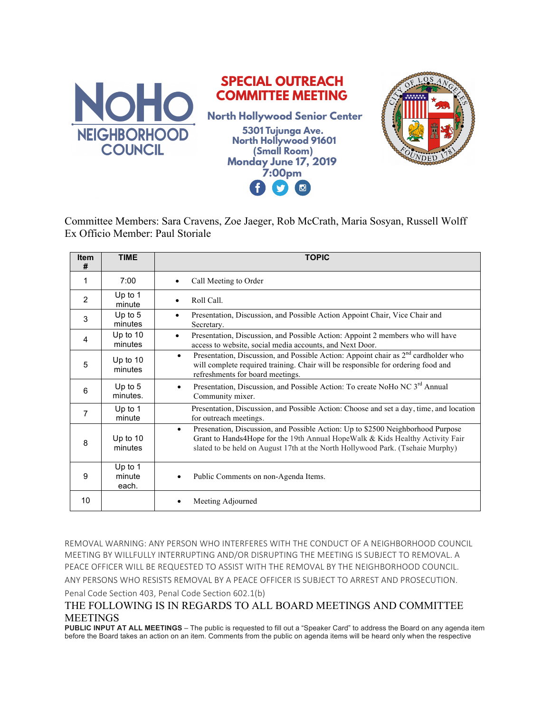

Committee Members: Sara Cravens, Zoe Jaeger, Rob McCrath, Maria Sosyan, Russell Wolff Ex Officio Member: Paul Storiale

| <b>Item</b><br># | <b>TIME</b>                | <b>TOPIC</b>                                                                                                                                                                                                                                                    |
|------------------|----------------------------|-----------------------------------------------------------------------------------------------------------------------------------------------------------------------------------------------------------------------------------------------------------------|
| 1                | 7:00                       | Call Meeting to Order                                                                                                                                                                                                                                           |
| 2                | Up to 1<br>minute          | Roll Call.<br>$\bullet$                                                                                                                                                                                                                                         |
| 3                | Up to 5<br>minutes         | Presentation, Discussion, and Possible Action Appoint Chair, Vice Chair and<br>$\bullet$<br>Secretary.                                                                                                                                                          |
| 4                | Up to 10<br>minutes        | Presentation, Discussion, and Possible Action: Appoint 2 members who will have<br>$\bullet$<br>access to website, social media accounts, and Next Door.                                                                                                         |
| 5                | Up to $10$<br>minutes      | Presentation, Discussion, and Possible Action: Appoint chair as 2 <sup>nd</sup> cardholder who<br>$\bullet$<br>will complete required training. Chair will be responsible for ordering food and<br>refreshments for board meetings.                             |
| 6                | Up to $5$<br>minutes.      | Presentation, Discussion, and Possible Action: To create NoHo NC 3rd Annual<br>Community mixer.                                                                                                                                                                 |
| $\overline{7}$   | Up to 1<br>minute          | Presentation, Discussion, and Possible Action: Choose and set a day, time, and location<br>for outreach meetings.                                                                                                                                               |
| 8                | Up to 10<br>minutes        | Presenation, Discussion, and Possible Action: Up to \$2500 Neighborhood Purpose<br>$\bullet$<br>Grant to Hands4Hope for the 19th Annual HopeWalk & Kids Healthy Activity Fair<br>slated to be held on August 17th at the North Hollywood Park. (Tsehaie Murphy) |
| 9                | Up to 1<br>minute<br>each. | Public Comments on non-Agenda Items.                                                                                                                                                                                                                            |
| 10               |                            | Meeting Adjourned                                                                                                                                                                                                                                               |

REMOVAL WARNING: ANY PERSON WHO INTERFERES WITH THE CONDUCT OF A NEIGHBORHOOD COUNCIL MEETING BY WILLFULLY INTERRUPTING AND/OR DISRUPTING THE MEETING IS SUBJECT TO REMOVAL. A PEACE OFFICER WILL BE REQUESTED TO ASSIST WITH THE REMOVAL BY THE NEIGHBORHOOD COUNCIL. ANY PERSONS WHO RESISTS REMOVAL BY A PEACE OFFICER IS SUBJECT TO ARREST AND PROSECUTION. Penal Code Section 403, Penal Code Section 602.1(b)

## THE FOLLOWING IS IN REGARDS TO ALL BOARD MEETINGS AND COMMITTEE MEETINGS

**PUBLIC INPUT AT ALL MEETINGS** – The public is requested to fill out a "Speaker Card" to address the Board on any agenda item before the Board takes an action on an item. Comments from the public on agenda items will be heard only when the respective